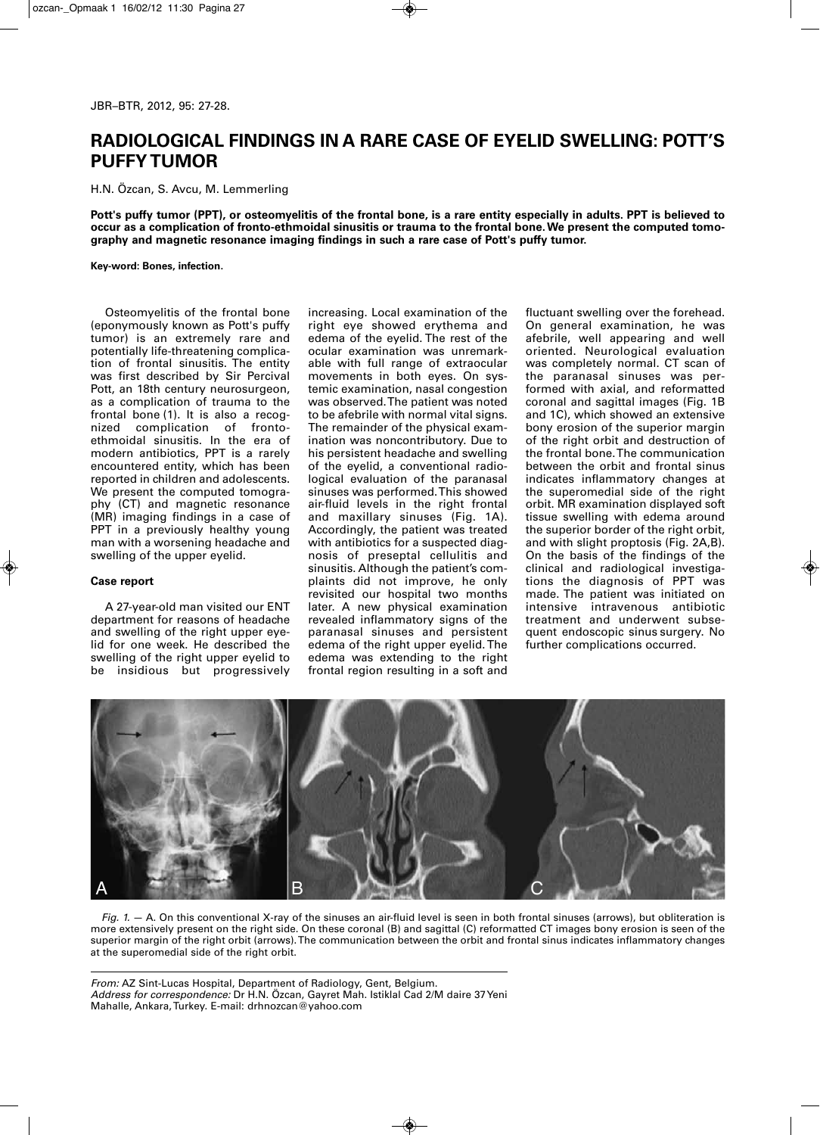## **RADIOLOGICAL FINDINGS IN A RARE CASE OF EYELID SWELLING: POTT'S PUFFYTUMOR**

H.N. Özcan, S. Avcu, M. Lemmerling

Pott's puffy tumor (PPT), or osteomyelitis of the frontal bone, is a rare entity especially in adults. PPT is believed to occur as a complication of fronto-ethmoidal sinusitis or trauma to the frontal bone. We present the computed tomo**graphy and magnetic resonance imaging findings in such a rare case of Pott's puffy tumor.**

**Key-word: Bones, infection.**

Osteomyelitis of the frontal bone (eponymously known as Pott's puffy tumor) is an extremely rare and potentially life-threatening complication of frontal sinusitis. The entity was first described by Sir Percival Pott, an 18th century neurosurgeon, as a complication of trauma to the frontal bone (1). It is also a recognized complication of frontoethmoidal sinusitis. In the era of modern antibiotics, PPT is a rarely encountered entity, which has been reported in children and adolescents. We present the computed tomography (CT) and magnetic resonance (MR) imaging findings in a case of PPT in a previously healthy young man with a worsening headache and swelling of the upper eyelid.

## **Case report**

A 27-year-old man visited our ENT department for reasons of headache and swelling of the right upper eyelid for one week. He described the swelling of the right upper eyelid to be insidious but progressively

increasing. Local examination of the right eye showed erythema and edema of the eyelid. The rest of the ocular examination was unremarkable with full range of extraocular movements in both eyes. On systemic examination, nasal congestion was observed.The patient was noted to be afebrile with normal vital signs. The remainder of the physical examination was noncontributory. Due to his persistent headache and swelling of the eyelid, a conventional radiological evaluation of the paranasal sinuses was performed.This showed air-fluid levels in the right frontal and maxillary sinuses (Fig. 1A). Accordingly, the patient was treated with antibiotics for a suspected diagnosis of preseptal cellulitis and sinusitis. Although the patient's complaints did not improve, he only revisited our hospital two months later. A new physical examination revealed inflammatory signs of the paranasal sinuses and persistent edema of the right upper eyelid.The edema was extending to the right frontal region resulting in a soft and

fluctuant swelling over the forehead. On general examination, he was afebrile, well appearing and well oriented. Neurological evaluation was completely normal. CT scan of the paranasal sinuses was performed with axial, and reformatted coronal and sagittal images (Fig. 1B and 1C), which showed an extensive bony erosion of the superior margin of the right orbit and destruction of the frontal bone.The communication between the orbit and frontal sinus indicates inflammatory changes at the superomedial side of the right orbit. MR examination displayed soft tissue swelling with edema around the superior border of the right orbit, and with slight proptosis (Fig. 2A,B). On the basis of the findings of the clinical and radiological investigations the diagnosis of PPT was made. The patient was initiated on intensive intravenous antibiotic treatment and underwent subsequent endoscopic sinus surgery. No further complications occurred.



*Fig. 1.* — A. On this conventional X-ray of the sinuses an air-fluid level is seen in both frontal sinuses (arrows), but obliteration is more extensively present on the right side. On these coronal (B) and sagittal (C) reformatted CT images bony erosion is seen of the superior margin of the right orbit (arrows).The communication between the orbit and frontal sinus indicates inflammatory changes at the superomedial side of the right orbit.

*From:* AZ Sint-Lucas Hospital, Department of Radiology, Gent, Belgium. *Address for correspondence:* Dr H.N. Özcan, Gayret Mah. Istiklal Cad 2/M daire 37Yeni Mahalle, Ankara,Turkey. E-mail: drhnozcan@yahoo.com